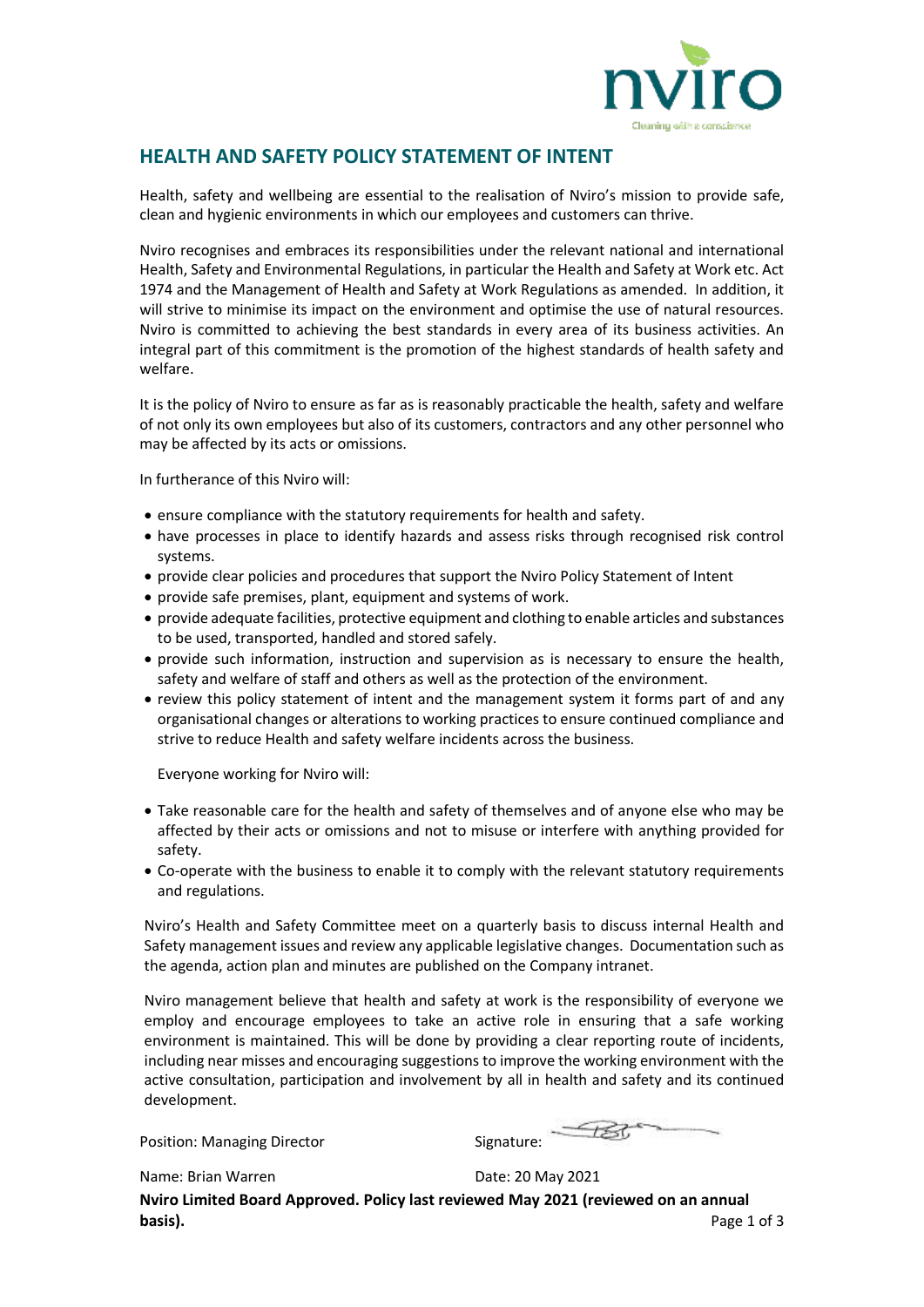

## **HEALTH AND SAFETY POLICY STATEMENT OF INTENT**

Health, safety and wellbeing are essential to the realisation of Nviro's mission to provide safe, clean and hygienic environments in which our employees and customers can thrive.

Nviro recognises and embraces its responsibilities under the relevant national and international Health, Safety and Environmental Regulations, in particular the Health and Safety at Work etc. Act 1974 and the Management of Health and Safety at Work Regulations as amended. In addition, it will strive to minimise its impact on the environment and optimise the use of natural resources. Nviro is committed to achieving the best standards in every area of its business activities. An integral part of this commitment is the promotion of the highest standards of health safety and welfare.

It is the policy of Nviro to ensure as far as is reasonably practicable the health, safety and welfare of not only its own employees but also of its customers, contractors and any other personnel who may be affected by its acts or omissions.

In furtherance of this Nviro will:

- ensure compliance with the statutory requirements for health and safety.
- have processes in place to identify hazards and assess risks through recognised risk control systems.
- provide clear policies and procedures that support the Nviro Policy Statement of Intent
- provide safe premises, plant, equipment and systems of work.
- provide adequate facilities, protective equipment and clothing to enable articles and substances to be used, transported, handled and stored safely.
- provide such information, instruction and supervision as is necessary to ensure the health, safety and welfare of staff and others as well as the protection of the environment.
- review this policy statement of intent and the management system it forms part of and any organisational changes or alterations to working practices to ensure continued compliance and strive to reduce Health and safety welfare incidents across the business.

Everyone working for Nviro will:

- Take reasonable care for the health and safety of themselves and of anyone else who may be affected by their acts or omissions and not to misuse or interfere with anything provided for safety.
- Co-operate with the business to enable it to comply with the relevant statutory requirements and regulations.

Nviro's Health and Safety Committee meet on a quarterly basis to discuss internal Health and Safety management issues and review any applicable legislative changes. Documentation such as the agenda, action plan and minutes are published on the Company intranet.

Nviro management believe that health and safety at work is the responsibility of everyone we employ and encourage employees to take an active role in ensuring that a safe working environment is maintained. This will be done by providing a clear reporting route of incidents, including near misses and encouraging suggestions to improve the working environment with the active consultation, participation and involvement by all in health and safety and its continued development.

Position: Managing Director Signature:

Name: Brian Warren **Date: 20 May 2021** 

**Nviro Limited Board Approved. Policy last reviewed May 2021 (reviewed on an annual basis). Page 1 of 3**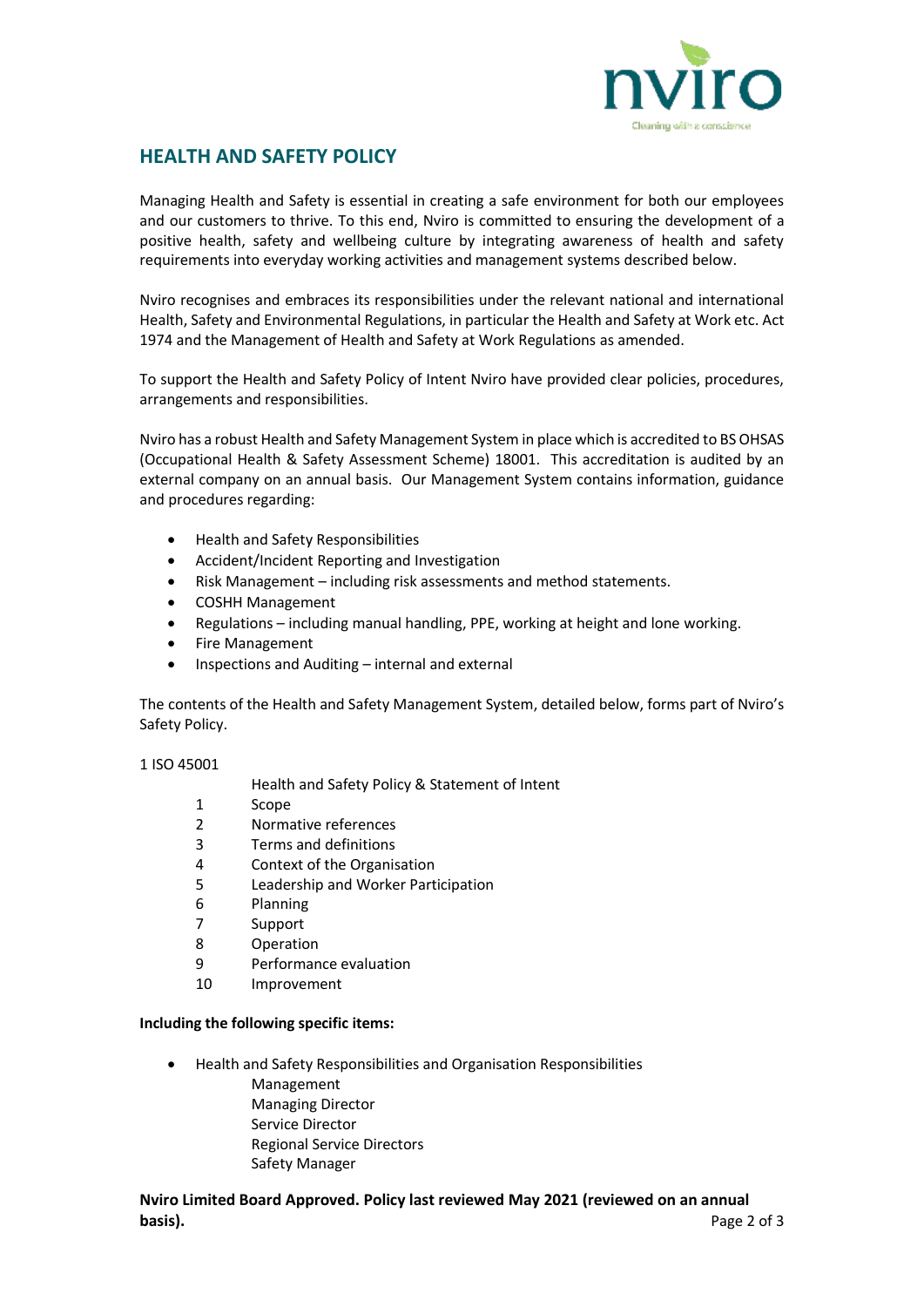

# **HEALTH AND SAFETY POLICY**

Managing Health and Safety is essential in creating a safe environment for both our employees and our customers to thrive. To this end, Nviro is committed to ensuring the development of a positive health, safety and wellbeing culture by integrating awareness of health and safety requirements into everyday working activities and management systems described below.

Nviro recognises and embraces its responsibilities under the relevant national and international Health, Safety and Environmental Regulations, in particular the Health and Safety at Work etc. Act 1974 and the Management of Health and Safety at Work Regulations as amended.

To support the Health and Safety Policy of Intent Nviro have provided clear policies, procedures, arrangements and responsibilities.

Nviro has a robust Health and Safety Management System in place which is accredited to BS OHSAS (Occupational Health & Safety Assessment Scheme) 18001. This accreditation is audited by an external company on an annual basis. Our Management System contains information, guidance and procedures regarding:

- Health and Safety Responsibilities
- Accident/Incident Reporting and Investigation
- Risk Management including risk assessments and method statements.
- COSHH Management
- Regulations including manual handling, PPE, working at height and lone working.
- Fire Management
- Inspections and Auditing internal and external

The contents of the Health and Safety Management System, detailed below, forms part of Nviro's Safety Policy.

## 1 ISO 45001

Health and Safety Policy & Statement of Intent

- 1 Scope
- 2 Normative references
- 3 Terms and definitions
- 4 Context of the Organisation
- 5 Leadership and Worker Participation
- 6 Planning
- 7 Support
- 8 Operation
- 9 Performance evaluation
- 10 Improvement

## **Including the following specific items:**

• Health and Safety Responsibilities and Organisation Responsibilities Management Managing Director Service Director Regional Service Directors Safety Manager

## **Nviro Limited Board Approved. Policy last reviewed May 2021 (reviewed on an annual basis).** Page 2 of 3